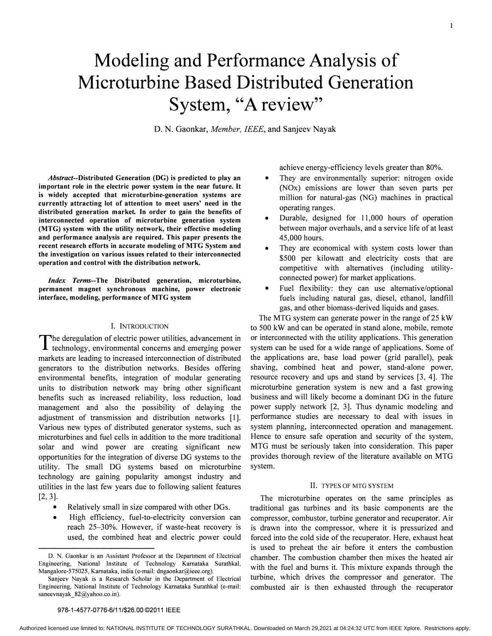# Modeling and Performance Analysis of Microturbine Based Distributed Generation System, "A review"

D. N. Gaonkar, Member, IEEE, and Sanjeev Nayak

Abstract--Distributed Generation (DG) is predicted to play an important role in the electric power system in the near future. It is widely accepted that microturbine-generation systems are currently attracting lot of attention to meet users' need in the distributed generation market In order to gain the benefits of interconnected operation of microturbine generation system (MTG) system with the utility network, their effective modeling and performance analysis are required. This paper presents the recent research efforts in accurate modeling of MTG System and the investigation on various issues related to their interconnected operation and control with the distribution network.

Index Terms--The Distributed generation, microturbine, permanent magnet synchronous machine, power electronic interface, modeling, performance of MTG system

#### I. INTRODUCTION

The deregulation of electric power utilities, advancement in<br>technology environmental concerns and emerging nower technology, environmental concerns and emerging power markets are leading to increased interconnection of distributed generators to the distribution networks. Besides offering environmental benefits, integration of modular generating units to distribution network may bring other significant benefits such as increased reliability, loss reduction, load management and also the possibility of delaying the adjustment of transmission and distribution networks [1]. Various new types of distributed generator systems, such as microturbines and fuel cells in addition to the more traditional solar and wind power are creating significant new opportunities for the integration of diverse DG systems to the utility. The small DG systems based on microturbine technology are gaining popularity amongst industry and utilities in the last few years due to following salient features [2, 3].

- Relatively small in size compared with other DGs.
- High efficiency, fuel-to-electricity conversion can reach 25-30%. However, if waste-heat recovery is used, the combined heat and electric power could

achieve energy-efficiency levels greater than 80%.

- They are environmentally superior: nitrogen oxide (NOx) emissions are lower than seven parts per million for natural-gas (NG) machines in practical operating ranges.
- Durable, designed for 11,000 hours of operation between major overhauls, and a service life of at least 45,000 hours.
- They are economical with system costs lower than \$500 per kilowatt and electricity costs that are competitive with alternatives (including utilityconnected power) for market applications.
- Fuel flexibility: they can use alternative/optional fuels including natural gas, diesel, ethanol, landfill gas, and other biomass-derived liquids and gases.

The MTG system can generate power in the range of 25 kW to 500 kW and can be operated in stand alone, mobile, remote or interconnected with the utility applications. This generation system can be used for a wide range of applications. Some of the applications are, base load power (grid parallel), peak shaving, combined heat and power, stand-alone power, resource recovery and ups and stand by services [3, 4]. The microturbine generation system is new and a fast growing business and will likely become a dominant DG in the future power supply network [2, 3]. Thus dynamic modeling and performance studies are necessary to deal with issues in system planning, interconnected operation and management. Hence to ensure safe operation and security of the system, MTG must be seriously taken into consideration. This paper provides thorough review of the literature available on MTG system.

# II. TYPES OF MTG SYSTEM

The microturbine operates on the same principles as traditional gas turbines and its basic components are the compressor, combustor, turbine generator and recuperator. Air is drawn into the compressor, where it is pressurized and forced into the cold side of the recuperator. Here, exhaust heat is used to preheat the air before it enters the combustion chamber. The combustion chamber then mixes the heated air with the fuel and bums it. This mixture expands through the turbine, which drives the compressor and generator. The combusted air is then exhausted through the recuperator

#### 978-1-4577-0776-6/11/\$26.00 ©2011 IEEE

D. N. Gaonkar is an Assistant Professor at the Department of Electrical Engineering, National Institute of Technology Karnataka Surathkal, Mangalore-575025, Karnataka, india (e-mail: dngaonkar@ieee.org).

Sanjeev Nayak is a Research Scholar in the Department of Electrical Engineering, National Institute of Technology Kamataka Surathkal (e-mail: saneevnayak 82@yahoo.co.in).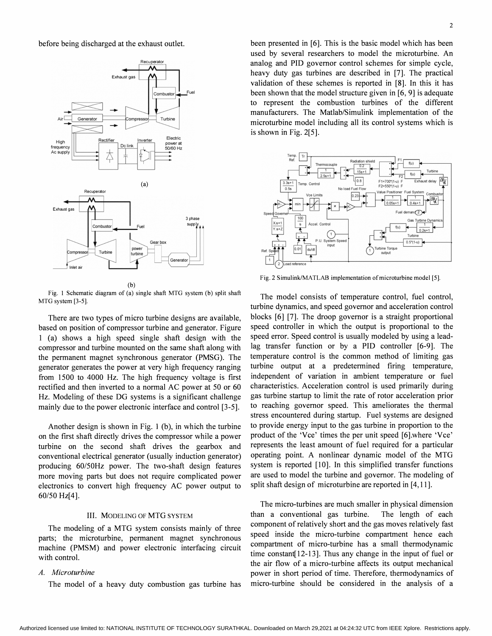before being discharged at the exhaust outlet.



(b)

Fig. I Schematic diagram of (a) single shaft MTG system (b) split shaft MTG system [3-5].

There are two types of micro turbine designs are available, based on position of compressor turbine and generator. Figure 1 (a) shows a high speed single shaft design with the compressor and turbine mounted on the same shaft along with the permanent magnet synchronous generator (PMSG). The generator generates the power at very high frequency ranging from 1500 to 4000 Hz. The high frequency voltage is first rectified and then inverted to a normal AC power at 50 or 60 Hz. Modeling of these DG systems is a significant challenge mainly due to the power electronic interface and control [3-5].

Another design is shown in Fig. I (b), in which the turbine on the first shaft directly drives the compressor while a power turbine on the second shaft drives the gearbox and conventional electrical generator (usually induction generator) producing 60/50Hz power. The two-shaft design features more moving parts but does not require complicated power electronics to convert high frequency AC power output to 60/50 Hz[4].

# III. MODELING OF MTG SYSTEM

The modeling of a MTG system consists mainly of three parts; the microturbine, permanent magnet synchronous machine (PMSM) and power electronic interfacing circuit with control.

#### A. Microturbine

The model of a heavy duty combustion gas turbine has

been presented in [6]. This is the basic model which has been used by several researchers to model the microturbine. An analog and PID governor control schemes for simple cycle, heavy duty gas turbines are described in [7]. The practical validation of these schemes is reported in [8]. In this it has been shown that the model structure given in [6, 9] is adequate to represent the combustion turbines of the different manufacturers. The Matlab/Simulink implementation of the microturbine model including all its control systems which is is shown in Fig. 2[5].



Fig. 2 Simulink/MATLAB implementation of microturbine model [5].

The model consists of temperature control, fuel control, turbine dynamics, and speed governor and acceleration control blocks [6] [7]. The droop governor is a straight proportional speed controller in which the output is proportional to the speed error. Speed control is usually modeled by using a leadlag transfer function or by a PID controller [6-9]. The temperature control is the common method of limiting gas turbine output at a predetermined firing temperature, independent of variation in ambient temperature or fuel characteristics. Acceleration control is used primarily during gas turbine startup to limit the rate of rotor acceleration prior to reaching governor speed. This ameliorates the thermal stress encountered during startup. Fuel systems are designed to provide energy input to the gas turbine in proportion to the product of the 'Vce' times the per unit speed [6].where 'Vce' represents the least amount of fuel required for a particular operating point. A nonlinear dynamic model of the MTG system is reported [10]. In this simplified transfer functions are used to model the turbine and governor. The modeling of split shaft design of microturbine are reported in [4,11].

The micro-turbines are much smaller in physical dimension than a conventional gas turbine. The length of each component of relatively short and the gas moves relatively fast speed inside the micro-turbine compartment hence each compartment of micro-turbine has a small thermodynamic time constant[ 12-13]. Thus any change in the input of fuel or the air flow of a micro-turbine affects its output mechanical power in short period of time. Therefore, thermodynamics of micro-turbine should be considered in the analysis of a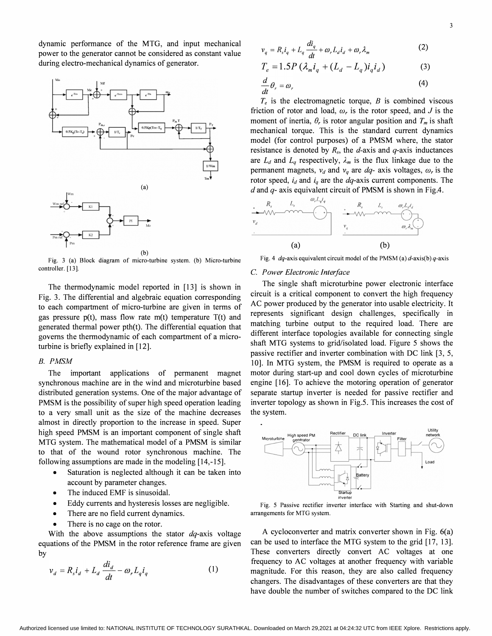dynamic performance of the MTG, and input mechanical power to the generator cannot be considered as constant value during electro-mechanical dynamics of generator.



Fig. 3 (a) Block diagram of micro-turbine system. (b) Micro-turbine controller. [13].

The thermodynamic model reported in [13] is shown in Fig. 3. The differential and algebraic equation corresponding to each compartment of micro-turbine are given in terms of gas pressure p(t), mass flow rate m(t) temperature T(t) and generated thermal power pth(t). The differential equation that governs the thermodynamic of each compartment of a microturbine is briefly explained in [12].

### B. PMSM

The important applications of permanent magnet synchronous machine are in the wind and microturbine based distributed generation systems. One of the major advantage of PMSM is the possibility of super high speed operation leading to a very small unit as the size of the machine decreases almost in directly proportion to the increase in speed. Super high speed PMSM is an important component of single shaft MTG system. The mathematical model of a PMSM is similar to that of the wound rotor synchronous machine. The following assumptions are made in the modeling [14,-15].

- Saturation is neglected although it can be taken into account by parameter changes.
- The induced EMF is sinusoidal.  $\frac{1}{\text{Statuj}}$
- Eddy currents and hysteresis losses are negligible. Fig. 5 Passive rectifier inverter interface with Starting and shut-down
- There are no field current dynamics. There are no field current dynamics.
- There is no cage on the rotor.

With the above assumptions the stator  $dq$ -axis voltage equations of the PMSM in the rotor reference frame are given by

$$
v_d = R_s i_d + L_d \frac{di_d}{dt} - \omega_r L_q i_q \tag{1}
$$

$$
v_q = R_s i_q + L_q \frac{di_q}{dt} + \omega_r L_d i_d + \omega_r \lambda_m
$$
 (2)

$$
T_e = 1.5P \left( \lambda_m i_q + (L_d - L_q) i_q i_d \right) \tag{3}
$$

$$
\frac{d}{dt}\theta_r = \omega_r \tag{4}
$$

 $T_e$  is the electromagnetic torque, B is combined viscous friction of rotor and load,  $\omega_r$  is the rotor speed, and J is the moment of inertia,  $\theta_r$  is rotor angular position and  $T_m$  is shaft mechanical torque. This is the standard current dynamics model (for control purposes) of a PMSM where, the stator resistance is denoted by  $R_s$ , the d-axis and q-axis inductances are  $L_d$  and  $L_q$  respectively,  $\lambda_m$  is the flux linkage due to the permanent magnets,  $v_d$  and  $v_q$  are  $dq$ - axis voltages,  $\omega_r$  is the rotor speed,  $i_d$  and  $i_q$  are the *dq*-axis current components. The



Fig. 4  $dq$ -axis equivalent circuit model of the PMSM (a)  $d$ -axis(b)  $q$ -axis

## C. Power Electronic Interface

The single shaft microturbine power electronic interface circuit is a critical component to convert the high frequency AC power produced by the generator into usable electricity. It represents significant design challenges, specifically in matching turbine output to the required load. There are different interface topologies available for connecting single shaft MTG systems to grid/isolated load. Figure 5 shows the passive rectifier and inverter combination with DC link [3, 5, 10]. In MTG system, the PMSM is required to operate as a motor during start-up and cool down cycles of microturbine engine [16]. To achieve the motoring operation of generator separate startup inverter is needed for passive rectifier and inverter topology as shown in Fig.5. This increases the cost of the system.



A cycloconverter and matrix converter shown in Fig. 6(a) can be used to interface the MTG system to the grid [17, 13]. These converters directly convert AC voltages at one frequency to AC voltages at another frequency with variable magnitude. For this reason, they are also called frequency changers. The disadvantages of these converters are that they have double the number of switches compared to the DC link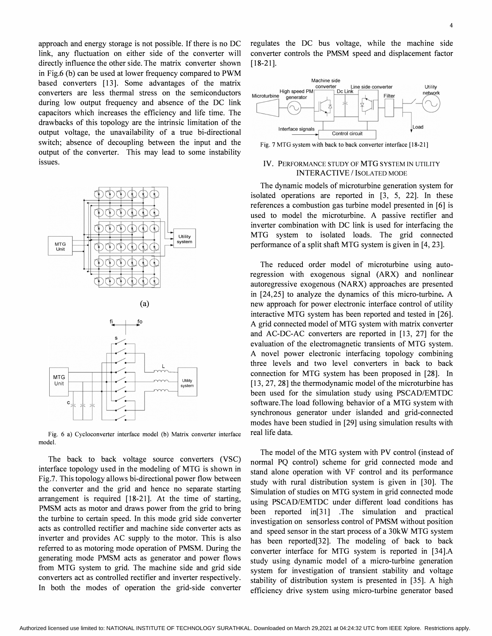approach and energy storage is not possible. If there is no DC link, any fluctuation on either side of the converter will directly influence the other side. The matrix converter shown in Fig.6 (b) can be used at lower frequency compared to PWM based converters [13]. Some advantages of the matrix converters are less thermal stress on the semiconductors during low output frequency and absence of the DC link capacitors which increases the efficiency and life time. The drawbacks of this topology are the intrinsic limitation of the output voltage, the unavailability of a true bi-directional switch; absence of decoupling between the input and the output of the converter. This may lead to some instability issues.







Fig. 6 a) Cycloconverter interface model (b) Matrix converter interface model.

The back to back voltage source converters (VSC) interface topology used in the modeling of MTG is shown in Fig.7. This topology allows bi-directional power flow between the converter and the grid and hence no separate starting arrangement is required [18-21]. At the time of starting, PMSM acts as motor and draws power from the grid to bring the turbine to certain speed. In this mode grid side converter acts as controlled rectifier and machine side converter acts as inverter and provides AC supply to the motor. This is also referred to as motoring mode operation of PMSM. During the generating mode PMSM acts as generator and power flows from MTG system to grid. The machine side and grid side converters act as controlled rectifier and inverter respectively. In both the modes of operation the grid-side converter

regulates the DC bus voltage, while the machine side converter controls the PMSM speed and displacement factor [18-21].



Fig. 7 MTG system with back to back converter interface [18-21]

# IV. PERFORMANCE STUDY OF MTG SYSTEM IN UTILITY INTERACTIVE / ISOLATED MODE

The dynamic models of microturbine generation system for isolated operations are reported in [3, 5, 22]. In these references a combustion gas turbine model presented in [6] is used to model the microturbine. A passive rectifier and inverter combination with DC link is used for interfacing the MTG system to isolated loads. The grid connected performance of a split shaft MTG system is given in [4, 23].

The reduced order model of microturbine using autoregression with exogenous signal (ARX) and nonlinear autoregressive exogenous (NARX) approaches are presented in [24,25] to analyze the dynamics of this micro-turbine. A new approach for power electronic interface control of utility interactive MTG system has been reported and tested in [26]. A grid connected model of MTG system with matrix converter and AC-DC-AC converters are reported in [13, 27] for the evaluation of the electromagnetic transients of MTG system. A novel power electronic interfacing topology combining three levels and two level converters in back to back connection for MTG system has been proposed in [28]. In [13, 27, 28] the thermodynamic model of the microturbine has been used for the simulation study using PSCAD/EMTDC software.The load following behavior of a MTG system with synchronous generator under islanded and grid-connected modes have been studied in [29] using simulation results with real life data.

The model of the MTG system with PV control (instead of normal PQ control) scheme for grid connected mode and stand alone operation with VF control and its performance study with rural distribution system is given in [30]. The Simulation of studies on MTG system in grid connected mode using PSCAD/EMTDC under different load conditions has been reported in[31] .The simulation and practical investigation on sensorless control of PMSM without position and speed sensor in the start process of a 30kW MTG system has been reported[32]. The modeling of back to back converter interface for MTG system is reported in [34].A study using dynamic model of a micro-turbine generation system for investigation of transient stability and voltage stability of distribution system is presented in [35]. A high efficiency drive system using micro-turbine generator based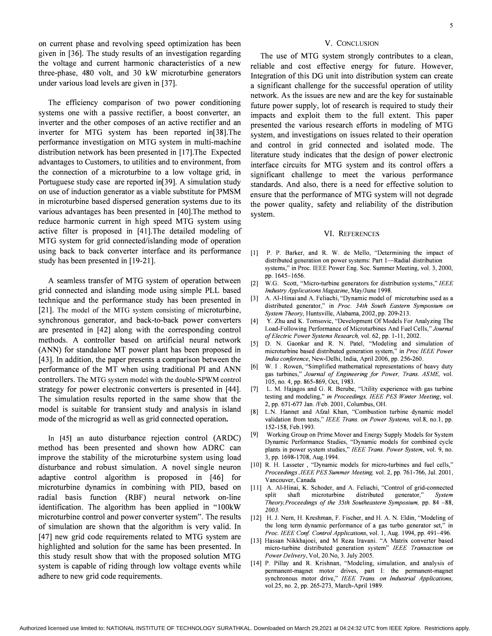on current phase and revolving speed optimization has been given in [36]. The study results of an investigation regarding the voltage and current harmonic characteristics of a new three-phase, 480 volt, and 30 kW microturbine generators under various load levels are given in [37].

The efficiency comparison of two power conditioning systems one with a passive rectifier, a boost converter, an inverter and the other composes of an active rectifier and an inverter for MTG system has been reported in[38].The performance investigation on MTG system in multi-machine distribution network has been presented in [17].The Expected advantages to Customers, to utilities and to environment, from the connection of a microturbine to a low voltage grid, in Portuguese study case are reported in[39]. A simulation study on use of induction generator as a viable substitute for PMSM in microturbine based dispersed generation systems due to its various advantages has been presented in [40].The method to reduce harmonic current in high speed MTG system using active filter is proposed in [41]. The detailed modeling of MTG system for grid connected/islanding mode of operation using back to back converter interface and its performance study has been presented in [19-21].

A seamless transfer of MTG system of operation between grid connected and islanding mode using simple PLL based technique and the performance study has been presented in [21]. The model of the MTG system consisting of microturbine, synchronous generator, and back-to-back power converters are presented in [42] along with the corresponding control methods. A controller based on artificial neural network (ANN) for standalone MT power plant has been proposed in [43]. In addition, the paper presents a comparison between the performance of the MT when using traditional PI and ANN controllers. The MTG system model with the double-SPWM control strategy for power electronic converters is presented in [44]. The simulation results reported in the same show that the model is suitable for transient study and analysis in island mode of the microgrid as well as grid connected operation.

In [45] an auto disturbance rejection control (ARDC) method has been presented and shown how ADRC can improve the stability of the microturbine system using load disturbance and robust simulation. A novel single neuron adaptive control algorithm is proposed in [46] for microturbine dynamics in combining with PID, based on radial basis function (RBF) neural network on-line identification. The algorithm has been applied in "100kW microturbine control and power converter system". The results of simulation are shown that the algorithm is very valid. In [47] new grid code requirements related to MTG system are highlighted and solution for the same has been presented. In this study result show that with the proposed solution MTG system is capable of riding through low voltage events while adhere to new grid code requirements.

#### V. CONCLUSION

The use of MTG system strongly contributes to a clean, reliable and cost effective energy for future. However, Integration of this DG unit into distribution system can create a significant challenge for the successful operation of utility network. As the issues are new and are the key for sustainable future power supply, lot of research is required to study their impacts and exploit them to the full extent. This paper presented the various research efforts in modeling of MTG system, and investigations on issues related to their operation and control in grid connected and isolated mode. The literature study indicates that the design of power electronic interface circuits for MTG system and its control offers a significant challenge to meet the various performance standards. And also, there is a need for effective solution to ensure that the performance of MTG system will not degrade the power quality, safety and reliability of the distribution system.

#### VI. REFERENCES

- [1] P. P. Barker, and R. W. de Mello, "Determining the impact of distributed generation on power systems: Part 1-Radial distribution systems," in Proc. IEEE Power Eng. Soc. Summer Meeting, vol. 3, 2000, pp. 1645-1656.
- [2] W.G. Scott, "Micro-turbine generators for distribution systems," IEEE Industry Applications Magazine, May/June 1998.
- [3] A. AI-Hinai and A. Feliachi, "Dynamic model of microturbine used as a distributed generator," in Proc. 34th South Eastern Symposium on System Theory, Huntsville, Alabama, 2002, pp. 209-213.
- [4] Y. Zhu and K. Tomsovic, "Development Of Models For Analyzing The Load-Following Performance of Microturbines And Fuel Cells," Journal of Electric Power Systems Research, vol. 62, pp. 1-11, 2002.
- [5] D. N. Gaonkar and R. N. Patel, "Modeling and simulation of microturbine based distributed generation system," in Proc IEEE Power India conference, New-Delhi, India, April 2006, pp. 256-260.
- [6] W. I . Rowen, "Simplified mathematical representations of heavy duty gas turbines," Journal of Engineering for Power, Trans. ASME, vol. 105, no. 4, pp. 865-869, Oct, 1983.
- [7] L. M. Hajagos and G. R. Berube, "Utility experience with gas turbine testing and modeling," in Proceedings, IEEE PES Winter Meeting, vol. 2, pp. 671-677 Jan. /Feb. 2001, Columbus, OH.
- [8] L.N. Hannet and Afzal Khan, "Combustion turbine dynamic model validation from tests," IEEE Trans. on Power Systems, vol.8, no.1, pp. 152-158, Feb.1993.
- [9] Working Group on Prime Mover and Energy Supply Models for System Dynamic Performance Studies, "Dynamic models for combined cycle plants in power system studies," IEEE Trans. Power System, vol. 9, no. 3, pp. 1698-1708, Aug.1994.
- [10] R. H. Lasseter, "Dynamic models for micro-turbines and fuel cells," Proceedings ,IEEE PES Summer Meeting, vol. 2, pp. 761-766, Jul. 2001, Vancouver, Canada
- [11] A. Al-Hinai, K. Schoder, and A. Feliachi, "Control of grid-connected split shaft microturbine distributed generator," System Theory,Proceedings of the 35th Southeastern Symposium, pp. 84 -88, 2003.
- [12] H. J. Nern, H. Kreshman, F. Fischer, and H. A. N. Eldin, "Modeling of the long term dynamic performance of a gas turbo generator set," in Proc. IEEE Conf. Control Applications, vol. 1, Aug. 1994, pp. 491-496.
- [13] Hassan Nikkhajoei, and M Reza Iravani. "A Matrix converter based micro-turbine distributed generation system" IEEE Transaction on Power Delivery, Vol, 20.No, 3. July 2005.
- [14] P. Pillay and R. Krishnan, "Modeling, simulation, and analysis of permanent-magnet motor drives, part I: the permanent-magnet synchronous motor drive," IEEE Trans. on Industrial Applications, vo1.25, no. 2, pp. 265-273, March-April 1989.